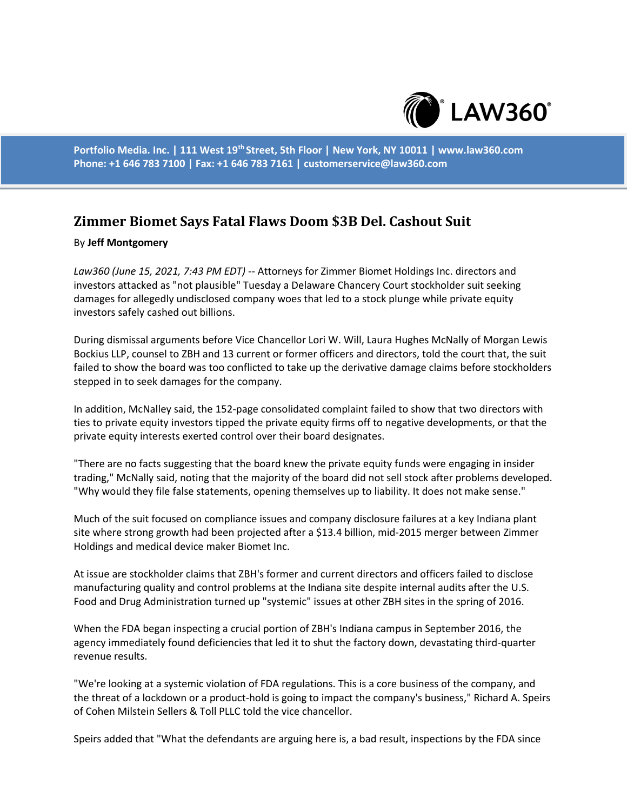

**Portfolio Media. Inc. | 111 West 19th Street, 5th Floor | New York, NY 10011 | www.law360.com Phone: +1 646 783 7100 | Fax: +1 646 783 7161 | customerservice@law360.com**

## **Zimmer Biomet Says Fatal Flaws Doom \$3B Del. Cashout Suit**

## By **Jeff Montgomery**

*Law360 (June 15, 2021, 7:43 PM EDT)* -- Attorneys for Zimmer Biomet Holdings Inc. directors and investors attacked as "not plausible" Tuesday a Delaware Chancery Court stockholder suit seeking damages for allegedly undisclosed company woes that led to a stock plunge while private equity investors safely cashed out billions.

During dismissal arguments before Vice Chancellor Lori W. Will, Laura Hughes McNally of Morgan Lewis Bockius LLP, counsel to ZBH and 13 current or former officers and directors, told the court that, the suit failed to show the board was too conflicted to take up the derivative damage claims before stockholders stepped in to seek damages for the company.

In addition, McNalley said, the 152-page consolidated complaint failed to show that two directors with ties to private equity investors tipped the private equity firms off to negative developments, or that the private equity interests exerted control over their board designates.

"There are no facts suggesting that the board knew the private equity funds were engaging in insider trading," McNally said, noting that the majority of the board did not sell stock after problems developed. "Why would they file false statements, opening themselves up to liability. It does not make sense."

Much of the suit focused on compliance issues and company disclosure failures at a key Indiana plant site where strong growth had been projected after a \$13.4 billion, mid-2015 merger between Zimmer Holdings and medical device maker Biomet Inc.

At issue are stockholder claims that ZBH's former and current directors and officers failed to disclose manufacturing quality and control problems at the Indiana site despite internal audits after the U.S. Food and Drug Administration turned up "systemic" issues at other ZBH sites in the spring of 2016.

When the FDA began inspecting a crucial portion of ZBH's Indiana campus in September 2016, the agency immediately found deficiencies that led it to shut the factory down, devastating third-quarter revenue results.

"We're looking at a systemic violation of FDA regulations. This is a core business of the company, and the threat of a lockdown or a product-hold is going to impact the company's business," Richard A. Speirs of Cohen Milstein Sellers & Toll PLLC told the vice chancellor.

Speirs added that "What the defendants are arguing here is, a bad result, inspections by the FDA since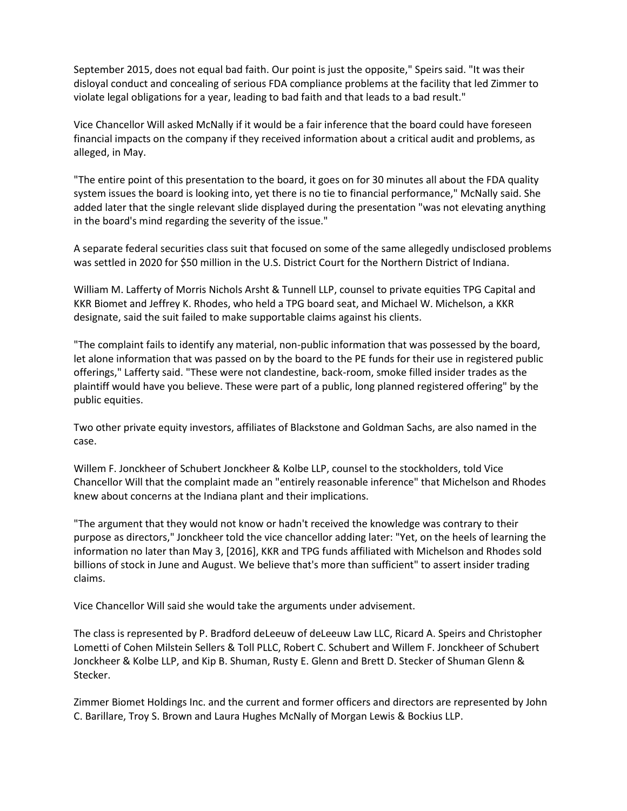September 2015, does not equal bad faith. Our point is just the opposite," Speirs said. "It was their disloyal conduct and concealing of serious FDA compliance problems at the facility that led Zimmer to violate legal obligations for a year, leading to bad faith and that leads to a bad result."

Vice Chancellor Will asked McNally if it would be a fair inference that the board could have foreseen financial impacts on the company if they received information about a critical audit and problems, as alleged, in May.

"The entire point of this presentation to the board, it goes on for 30 minutes all about the FDA quality system issues the board is looking into, yet there is no tie to financial performance," McNally said. She added later that the single relevant slide displayed during the presentation "was not elevating anything in the board's mind regarding the severity of the issue."

A separate federal securities class suit that focused on some of the same allegedly undisclosed problems was settled in 2020 for \$50 million in the U.S. District Court for the Northern District of Indiana.

William M. Lafferty of Morris Nichols Arsht & Tunnell LLP, counsel to private equities TPG Capital and KKR Biomet and Jeffrey K. Rhodes, who held a TPG board seat, and Michael W. Michelson, a KKR designate, said the suit failed to make supportable claims against his clients.

"The complaint fails to identify any material, non-public information that was possessed by the board, let alone information that was passed on by the board to the PE funds for their use in registered public offerings," Lafferty said. "These were not clandestine, back-room, smoke filled insider trades as the plaintiff would have you believe. These were part of a public, long planned registered offering" by the public equities.

Two other private equity investors, affiliates of Blackstone and Goldman Sachs, are also named in the case.

Willem F. Jonckheer of Schubert Jonckheer & Kolbe LLP, counsel to the stockholders, told Vice Chancellor Will that the complaint made an "entirely reasonable inference" that Michelson and Rhodes knew about concerns at the Indiana plant and their implications.

"The argument that they would not know or hadn't received the knowledge was contrary to their purpose as directors," Jonckheer told the vice chancellor adding later: "Yet, on the heels of learning the information no later than May 3, [2016], KKR and TPG funds affiliated with Michelson and Rhodes sold billions of stock in June and August. We believe that's more than sufficient" to assert insider trading claims.

Vice Chancellor Will said she would take the arguments under advisement.

The class is represented by P. Bradford deLeeuw of deLeeuw Law LLC, Ricard A. Speirs and Christopher Lometti of Cohen Milstein Sellers & Toll PLLC, Robert C. Schubert and Willem F. Jonckheer of Schubert Jonckheer & Kolbe LLP, and Kip B. Shuman, Rusty E. Glenn and Brett D. Stecker of Shuman Glenn & Stecker.

Zimmer Biomet Holdings Inc. and the current and former officers and directors are represented by John C. Barillare, Troy S. Brown and Laura Hughes McNally of Morgan Lewis & Bockius LLP.